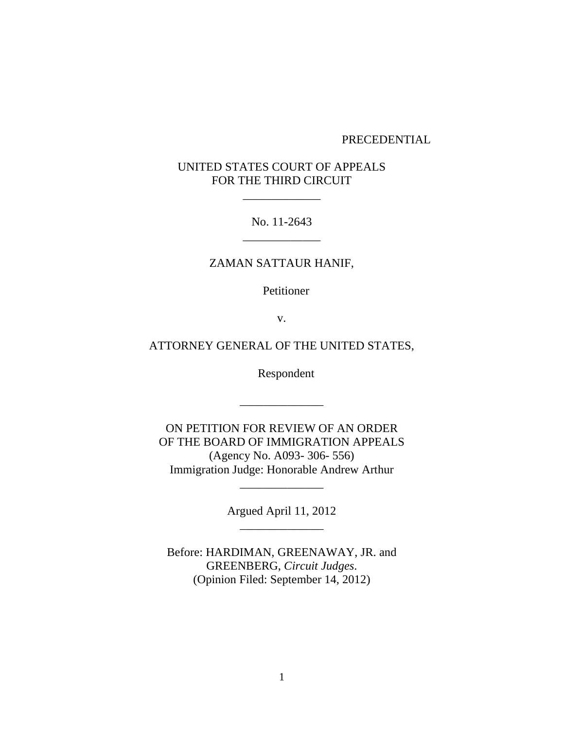#### PRECEDENTIAL

# UNITED STATES COURT OF APPEALS FOR THE THIRD CIRCUIT

\_\_\_\_\_\_\_\_\_\_\_\_\_

No. 11-2643 \_\_\_\_\_\_\_\_\_\_\_\_\_

## ZAMAN SATTAUR HANIF,

Petitioner

v.

# ATTORNEY GENERAL OF THE UNITED STATES,

Respondent

ON PETITION FOR REVIEW OF AN ORDER OF THE BOARD OF IMMIGRATION APPEALS (Agency No. A093- 306- 556) Immigration Judge: Honorable Andrew Arthur

\_\_\_\_\_\_\_\_\_\_\_\_\_\_

Argued April 11, 2012 \_\_\_\_\_\_\_\_\_\_\_\_\_\_

\_\_\_\_\_\_\_\_\_\_\_\_\_\_

Before: HARDIMAN, GREENAWAY, JR. and GREENBERG, *Circuit Judges*. (Opinion Filed: September 14, 2012)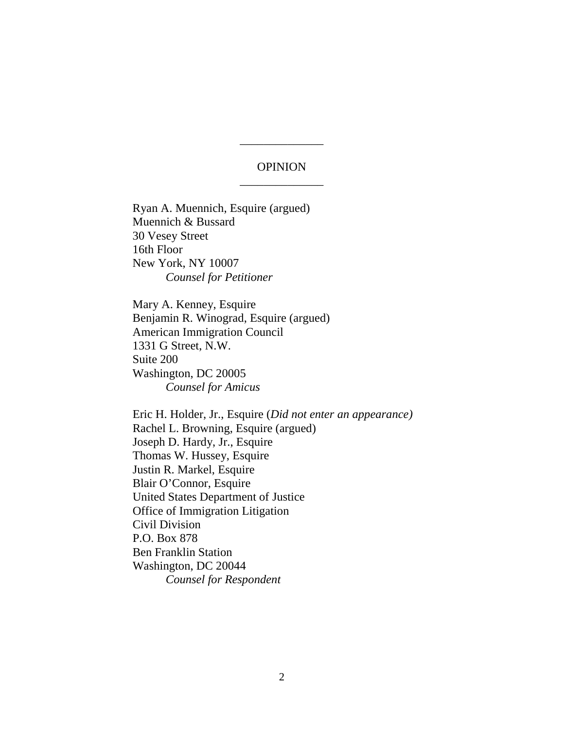# OPINION \_\_\_\_\_\_\_\_\_\_\_\_\_\_

\_\_\_\_\_\_\_\_\_\_\_\_\_\_

Ryan A. Muennich, Esquire (argued) Muennich & Bussard 30 Vesey Street 16th Floor New York, NY 10007 *Counsel for Petitioner*

Mary A. Kenney, Esquire Benjamin R. Winograd, Esquire (argued) American Immigration Council 1331 G Street, N.W. Suite 200 Washington, DC 20005 *Counsel for Amicus*

Eric H. Holder, Jr., Esquire (*Did not enter an appearance)* Rachel L. Browning, Esquire (argued) Joseph D. Hardy, Jr., Esquire Thomas W. Hussey, Esquire Justin R. Markel, Esquire Blair O'Connor, Esquire United States Department of Justice Office of Immigration Litigation Civil Division P.O. Box 878 Ben Franklin Station Washington, DC 20044 *Counsel for Respondent*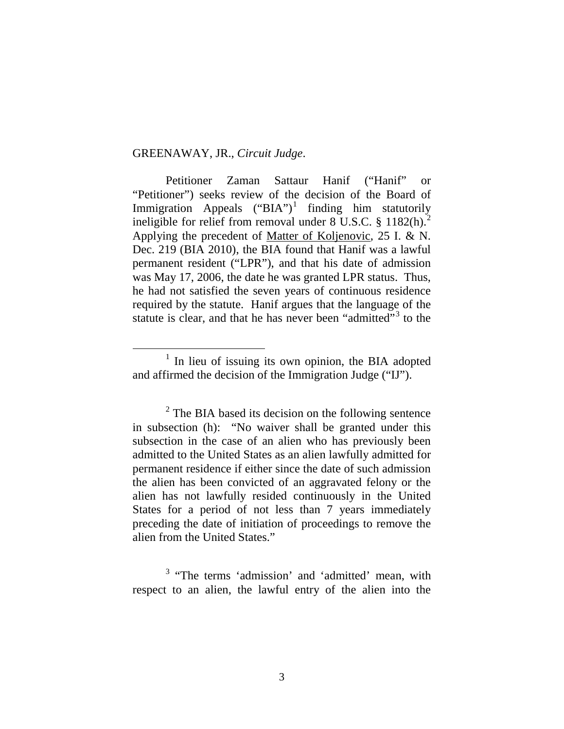### GREENAWAY, JR., *Circuit Judge*.

Petitioner Zaman Sattaur Hanif ("Hanif" or "Petitioner") seeks review of the decision of the Board of Immigration Appeals  $("BIA")^1$  $("BIA")^1$  finding him statutorily ineligible for relief from removal under  $8 \text{ U.S.C. }$   $\frac{182 \text{ (h)}}{2}$  $\frac{182 \text{ (h)}}{2}$  $\frac{182 \text{ (h)}}{2}$ Applying the precedent of Matter of Koljenovic, 25 I. & N. Dec. 219 (BIA 2010), the BIA found that Hanif was a lawful permanent resident ("LPR"), and that his date of admission was May 17, 2006, the date he was granted LPR status. Thus, he had not satisfied the seven years of continuous residence required by the statute. Hanif argues that the language of the statute is clear, and that he has never been "admitted"<sup>[3](#page-2-2)</sup> to the

<span id="page-2-0"></span> $1$  In lieu of issuing its own opinion, the BIA adopted and affirmed the decision of the Immigration Judge ("IJ").

<span id="page-2-1"></span> $2$  The BIA based its decision on the following sentence in subsection (h): "No waiver shall be granted under this subsection in the case of an alien who has previously been admitted to the United States as an alien lawfully admitted for permanent residence if either since the date of such admission the alien has been convicted of an aggravated felony or the alien has not lawfully resided continuously in the United States for a period of not less than 7 years immediately preceding the date of initiation of proceedings to remove the alien from the United States."

<span id="page-2-2"></span><sup>&</sup>lt;sup>3</sup> "The terms 'admission' and 'admitted' mean, with respect to an alien, the lawful entry of the alien into the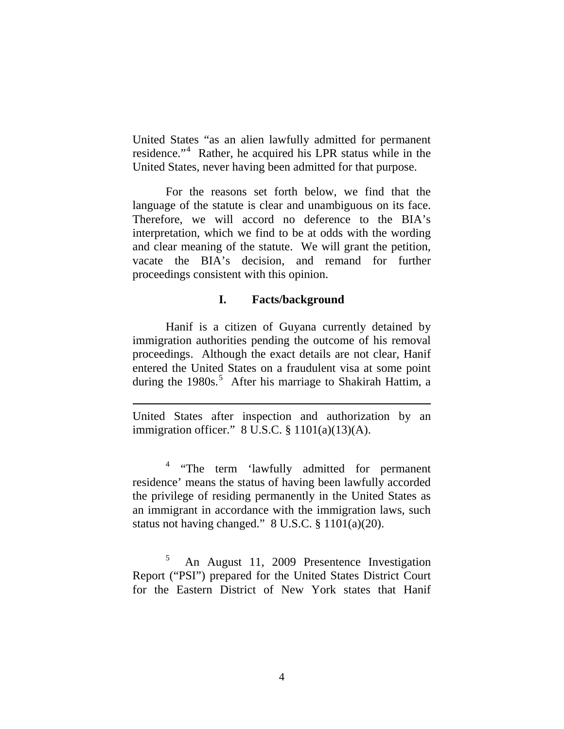United States "as an alien lawfully admitted for permanent residence."<sup>[4](#page-3-0)</sup> Rather, he acquired his LPR status while in the United States, never having been admitted for that purpose.

For the reasons set forth below, we find that the language of the statute is clear and unambiguous on its face. Therefore, we will accord no deference to the BIA's interpretation, which we find to be at odds with the wording and clear meaning of the statute. We will grant the petition, vacate the BIA's decision, and remand for further proceedings consistent with this opinion.

### **I. Facts/background**

Hanif is a citizen of Guyana currently detained by immigration authorities pending the outcome of his removal proceedings. Although the exact details are not clear, Hanif entered the United States on a fraudulent visa at some point during the 1980s.<sup>[5](#page-3-1)</sup> After his marriage to Shakirah Hattim, a

 $\overline{a}$ 

<span id="page-3-0"></span><sup>4</sup> "The term 'lawfully admitted for permanent residence' means the status of having been lawfully accorded the privilege of residing permanently in the United States as an immigrant in accordance with the immigration laws, such status not having changed." 8 U.S.C. § 1101(a)(20).

<span id="page-3-1"></span>5 An August 11, 2009 Presentence Investigation Report ("PSI") prepared for the United States District Court for the Eastern District of New York states that Hanif

United States after inspection and authorization by an immigration officer."  $8 \text{ U.S.C.} \$  $1101(a)(13)(A)$ .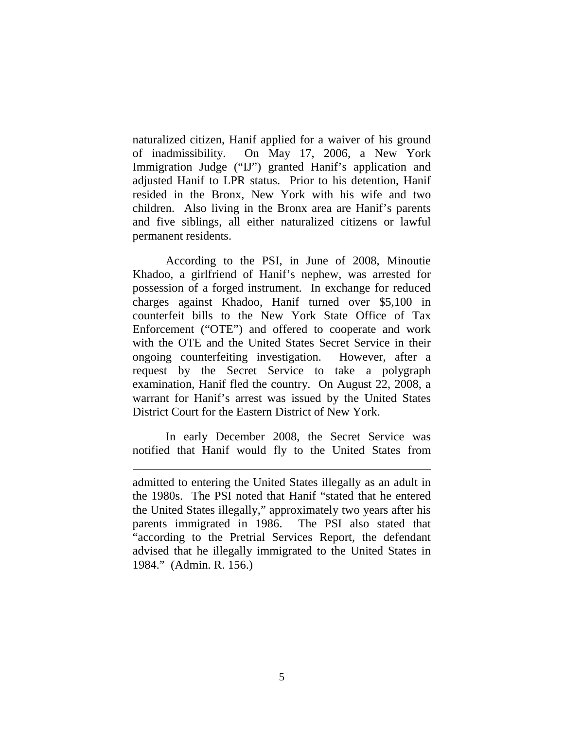naturalized citizen, Hanif applied for a waiver of his ground of inadmissibility. On May 17, 2006, a New York Immigration Judge ("IJ") granted Hanif's application and adjusted Hanif to LPR status. Prior to his detention, Hanif resided in the Bronx, New York with his wife and two children. Also living in the Bronx area are Hanif's parents and five siblings, all either naturalized citizens or lawful permanent residents.

According to the PSI, in June of 2008, Minoutie Khadoo, a girlfriend of Hanif's nephew, was arrested for possession of a forged instrument. In exchange for reduced charges against Khadoo, Hanif turned over \$5,100 in counterfeit bills to the New York State Office of Tax Enforcement ("OTE") and offered to cooperate and work with the OTE and the United States Secret Service in their ongoing counterfeiting investigation. However, after a request by the Secret Service to take a polygraph examination, Hanif fled the country. On August 22, 2008, a warrant for Hanif's arrest was issued by the United States District Court for the Eastern District of New York.

In early December 2008, the Secret Service was notified that Hanif would fly to the United States from

 $\overline{a}$ 

admitted to entering the United States illegally as an adult in the 1980s. The PSI noted that Hanif "stated that he entered the United States illegally," approximately two years after his parents immigrated in 1986. The PSI also stated that "according to the Pretrial Services Report, the defendant advised that he illegally immigrated to the United States in 1984." (Admin. R. 156.)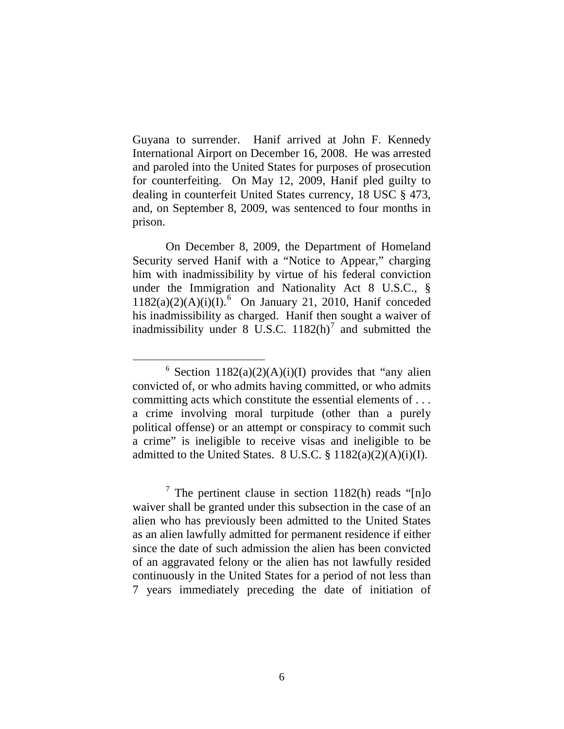Guyana to surrender. Hanif arrived at John F. Kennedy International Airport on December 16, 2008. He was arrested and paroled into the United States for purposes of prosecution for counterfeiting. On May 12, 2009, Hanif pled guilty to dealing in counterfeit United States currency, 18 USC § 473, and, on September 8, 2009, was sentenced to four months in prison.

On December 8, 2009, the Department of Homeland Security served Hanif with a "Notice to Appear," charging him with inadmissibility by virtue of his federal conviction under the Immigration and Nationality Act 8 U.S.C., §  $1182(a)(2)(A)(i)(I).$ <sup>[6](#page-5-0)</sup> On January 21, 2010, Hanif conceded his inadmissibility as charged. Hanif then sought a waiver of inadmissibility under 8 U.S.C.  $1182(h)$ <sup>[7](#page-5-1)</sup> and submitted the

<span id="page-5-0"></span> $6$  Section 1182(a)(2)(A)(i)(I) provides that "any alien convicted of, or who admits having committed, or who admits committing acts which constitute the essential elements of . . . a crime involving moral turpitude (other than a purely political offense) or an attempt or conspiracy to commit such a crime" is ineligible to receive visas and ineligible to be admitted to the United States.  $8 \text{ U.S.C.} \$  $1182(a)(2)(A)(i)(I)$ .

<span id="page-5-1"></span> $\frac{7}{1}$  The pertinent clause in section 1182(h) reads "[n]o waiver shall be granted under this subsection in the case of an alien who has previously been admitted to the United States as an alien lawfully admitted for permanent residence if either since the date of such admission the alien has been convicted of an aggravated felony or the alien has not lawfully resided continuously in the United States for a period of not less than 7 years immediately preceding the date of initiation of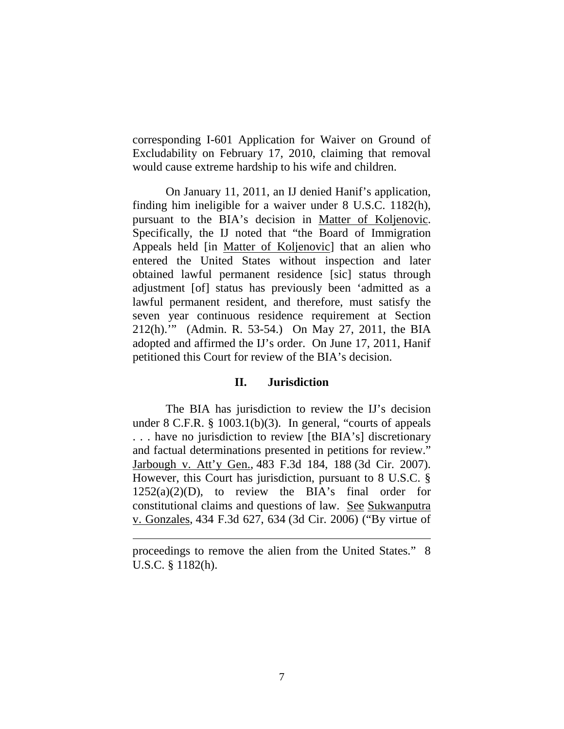corresponding I-601 Application for Waiver on Ground of Excludability on February 17, 2010, claiming that removal would cause extreme hardship to his wife and children.

On January 11, 2011, an IJ denied Hanif's application, finding him ineligible for a waiver under 8 U.S.C. 1182(h), pursuant to the BIA's decision in Matter of Koljenovic. Specifically, the IJ noted that "the Board of Immigration Appeals held [in Matter of Koljenovic] that an alien who entered the United States without inspection and later obtained lawful permanent residence [sic] status through adjustment [of] status has previously been 'admitted as a lawful permanent resident, and therefore, must satisfy the seven year continuous residence requirement at Section 212(h).'" (Admin. R. 53-54.) On May 27, 2011, the BIA adopted and affirmed the IJ's order. On June 17, 2011, Hanif petitioned this Court for review of the BIA's decision.

### **II. Jurisdiction**

The BIA has jurisdiction to review the IJ's decision under 8 C.F.R. § 1003.1(b)(3). In general, "courts of appeals . . . have no jurisdiction to review [the BIA's] discretionary and factual determinations presented in petitions for review." Jarbough v. Att'y Gen., 483 F.3d 184, 188 (3d Cir. 2007). However, this Court has jurisdiction, pursuant to 8 U.S.C. §  $1252(a)(2)(D)$ , to review the BIA's final order for constitutional claims and questions of law. See Sukwanputra v. Gonzales , 434 F.3d 627, 634 (3d Cir. 2006) ("By virtue of

 $\overline{a}$ 

proceedings to remove the alien from the United States." 8 U.S.C. § 1182(h).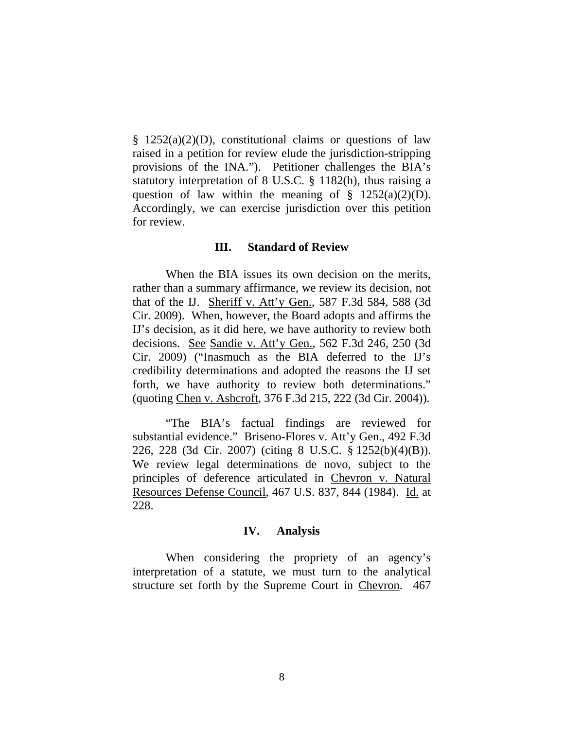$§$  1252(a)(2)(D), constitutional claims or questions of law raised in a petition for review elude the jurisdiction-stripping provisions of the INA."). Petitioner challenges the BIA's statutory interpretation of 8 U.S.C. § 1182(h), thus raising a question of law within the meaning of  $\S$  1252(a)(2)(D). Accordingly, we can exercise jurisdiction over this petition for review.

#### **III. Standard of Review**

When the BIA issues its own decision on the merits, rather than a summary affirmance, we review its decision, not that of the IJ. Sheriff v. Att'y Gen., 587 F.3d 584, 588 (3d Cir. 2009). When, however, the Board adopts and affirms the IJ's decision, as it did here, we have authority to review both decisions. See Sandie v. Att'y Gen., 562 F.3d 246, 250 (3d Cir. 2009) ("Inasmuch as the BIA deferred to the IJ's credibility determinations and adopted the reasons the IJ set forth, we have authority to review both determinations." (quoting Chen v. Ashcroft , 376 F.3d 215, 222 (3d Cir. 2004)).

"The BIA's factual findings are reviewed for substantial evidence." Briseno-Flores v. Att'y Gen., 492 F.3d 226, 228 (3d Cir. 2007) (citing 8 U.S.C. § 1252(b)(4)(B)). We review legal determinations de novo, subject to the principles of deference articulated in Chevron v. Natural Resources Defense Council, 467 U.S. 837, 844 (1984). Id. at 228.

#### **IV. Analysis**

When considering the propriety of an agency's interpretation of a statute, we must turn to the analytical structure set forth by the Supreme Court in Chevron. 467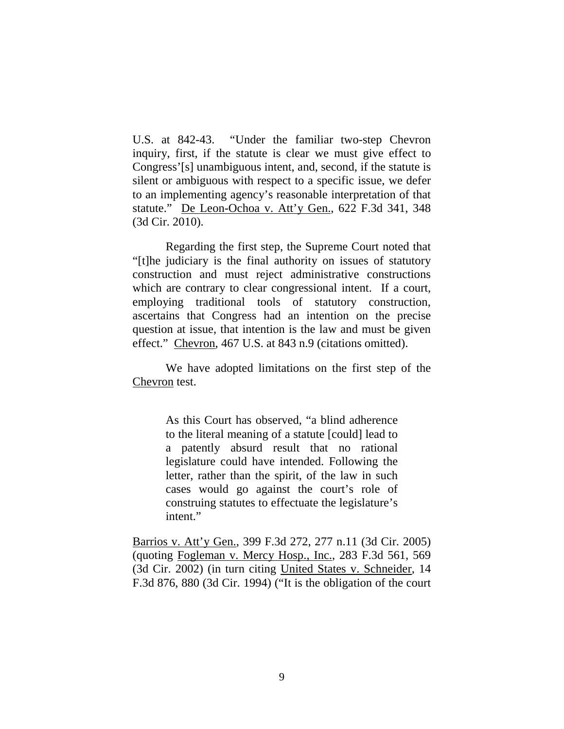U.S. at 842-43. "Under the familiar two-step Chevron inquiry, first, if the statute is clear we must give effect to Congress'[s] unambiguous intent, and, second, if the statute is silent or ambiguous with respect to a specific issue, we defer to an implementing agency's reasonable interpretation of that statute." De Leon-Ochoa v. Att'y Gen., 622 F.3d 341, 348 (3d Cir. 2010).

Regarding the first step, the Supreme Court noted that "[t]he judiciary is the final authority on issues of statutory construction and must reject administrative constructions which are contrary to clear congressional intent. If a court, employing traditional tools of statutory construction, ascertains that Congress had an intention on the precise question at issue, that intention is the law and must be given effect." Chevron, 467 U.S. at 843 n.9 (citations omitted).

We have adopted limitations on the first step of the Chevron test.

> As this Court has observed, "a blind adherence to the literal meaning of a statute [could] lead to a patently absurd result that no rational legislature could have intended. Following the letter, rather than the spirit, of the law in such cases would go against the court's role of construing statutes to effectuate the legislature's intent."

Barrios v. Att'y Gen., 399 F.3d 272, 277 n.11 (3d Cir. 2005) (quoting Fogleman v. Mercy Hosp., Inc., 283 F.3d 561, 569 (3d Cir. 2002) (in turn citing United States v. Schneider, 14 F.3d 876, 880 (3d Cir. 1994) ("It is the obligation of the court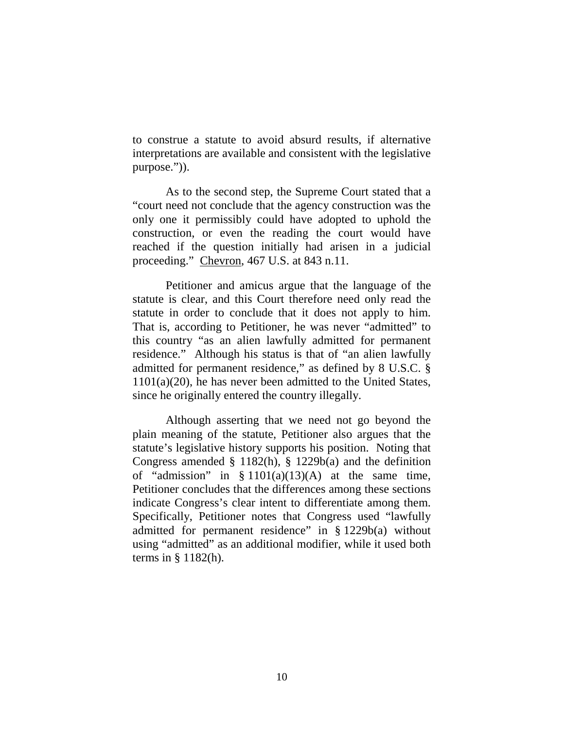to construe a statute to avoid absurd results, if alternative interpretations are available and consistent with the legislative purpose.")).

As to the second step, the Supreme Court stated that a "court need not conclude that the agency construction was the only one it permissibly could have adopted to uphold the construction, or even the reading the court would have reached if the question initially had arisen in a judicial proceeding." Chevron, 467 U.S. at 843 n.11.

Petitioner and amicus argue that the language of the statute is clear, and this Court therefore need only read the statute in order to conclude that it does not apply to him. That is, according to Petitioner, he was never "admitted" to this country "as an alien lawfully admitted for permanent residence." Although his status is that of "an alien lawfully admitted for permanent residence," as defined by 8 U.S.C. § 1101(a)(20), he has never been admitted to the United States, since he originally entered the country illegally.

Although asserting that we need not go beyond the plain meaning of the statute, Petitioner also argues that the statute's legislative history supports his position. Noting that Congress amended § 1182(h), § 1229b(a) and the definition of "admission" in  $\S 1101(a)(13)(A)$  at the same time, Petitioner concludes that the differences among these sections indicate Congress's clear intent to differentiate among them. Specifically, Petitioner notes that Congress used "lawfully admitted for permanent residence" in § 1229b(a) without using "admitted" as an additional modifier, while it used both terms in  $\S$  1182(h).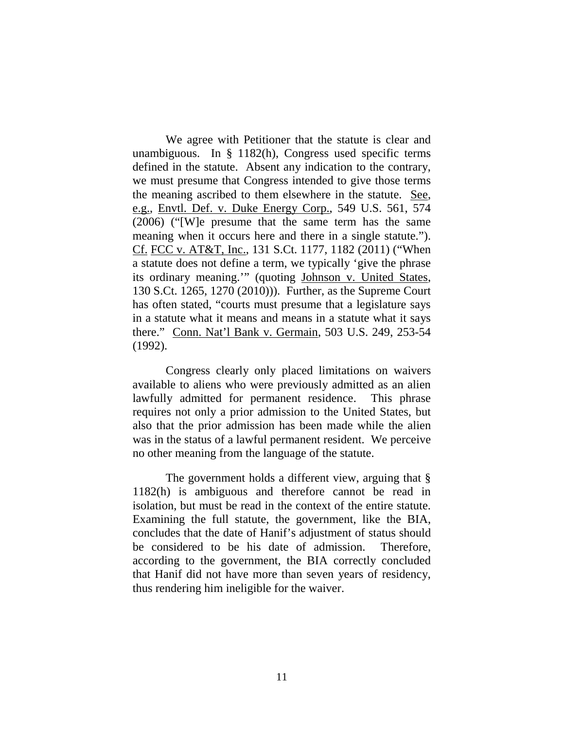We agree with Petitioner that the statute is clear and unambiguous. In § 1182(h), Congress used specific terms defined in the statute. Absent any indication to the contrary, we must presume that Congress intended to give those terms the meaning ascribed to them elsewhere in the statute. See, e.g., Envtl. Def. v. Duke Energy Corp., 549 U.S. 561, 574 (2006) ("[W]e presume that the same term has the same meaning when it occurs here and there in a single statute."). Cf. FCC v. AT&T, Inc., 131 S.Ct. 1177, 1182 (2011) ("When a statute does not define a term, we typically 'give the phrase its ordinary meaning.'" (quoting Johnson v. United States, 130 S.Ct. 1265, 1270 (2010))). Further, as the Supreme Court has often stated, "courts must presume that a legislature says in a statute what it means and means in a statute what it says there." Conn. Nat'l Bank v. Germain , 503 U.S. 249, 253-54 (1992).

Congress clearly only placed limitations on waivers available to aliens who were previously admitted as an alien lawfully admitted for permanent residence. This phrase requires not only a prior admission to the United States, but also that the prior admission has been made while the alien was in the status of a lawful permanent resident. We perceive no other meaning from the language of the statute.

The government holds a different view, arguing that  $\S$ 1182(h) is ambiguous and therefore cannot be read in isolation, but must be read in the context of the entire statute. Examining the full statute, the government, like the BIA, concludes that the date of Hanif's adjustment of status should be considered to be his date of admission. Therefore, according to the government, the BIA correctly concluded that Hanif did not have more than seven years of residency, thus rendering him ineligible for the waiver.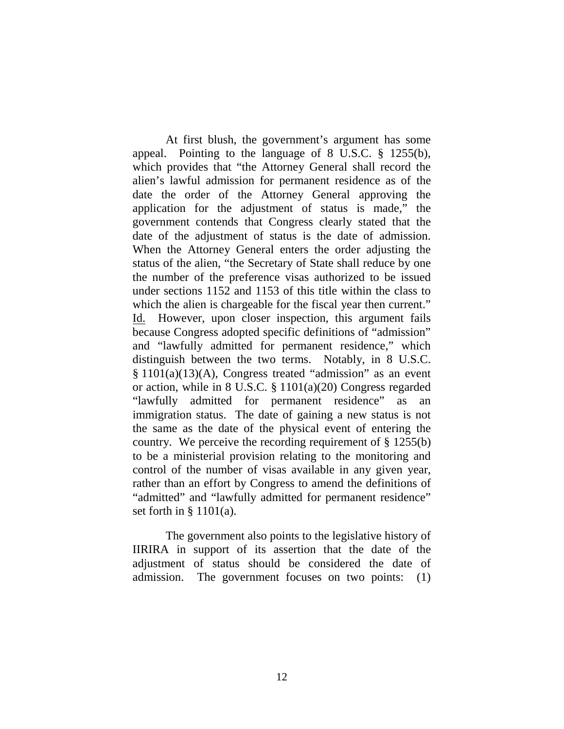At first blush, the government's argument has some appeal. Pointing to the language of 8 U.S.C. § 1255(b), which provides that "the Attorney General shall record the alien's lawful admission for permanent residence as of the date the order of the Attorney General approving the application for the adjustment of status is made," the government contends that Congress clearly stated that the date of the adjustment of status is the date of admission. When the Attorney General enters the order adjusting the status of the alien, "the Secretary of State shall reduce by one the number of the preference visas authorized to be issued under sections 1152 and 1153 of this title within the class to which the alien is chargeable for the fiscal year then current." Id. However, upon closer inspection, this argument fails because Congress adopted specific definitions of "admission" and "lawfully admitted for permanent residence," which distinguish between the two terms. Notably, in 8 U.S.C. § 1101(a)(13)(A), Congress treated "admission" as an event or action, while in 8 U.S.C. § 1101(a)(20) Congress regarded "lawfully admitted for permanent residence" as immigration status. The date of gaining a new status is not the same as the date of the physical event of entering the country. We perceive the recording requirement of  $\S$  1255(b) to be a ministerial provision relating to the monitoring and control of the number of visas available in any given year, rather than an effort by Congress to amend the definitions of "admitted" and "lawfully admitted for permanent residence" set forth in § 1101(a).

The government also points to the legislative history of IIRIRA in support of its assertion that the date of the adjustment of status should be considered the date of admission. The government focuses on two points: (1)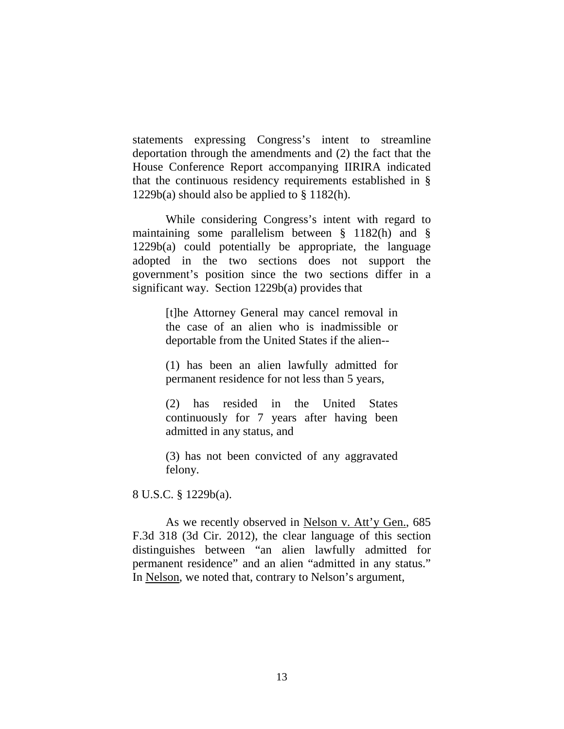statements expressing Congress's intent to streamline deportation through the amendments and (2) the fact that the House Conference Report accompanying IIRIRA indicated that the continuous residency requirements established in §  $1229b(a)$  should also be applied to § 1182(h).

While considering Congress's intent with regard to maintaining some parallelism between § 1182(h) and § 1229b(a) could potentially be appropriate, the language adopted in the two sections does not support the government's position since the two sections differ in a significant way. Section 1229b(a) provides that

> [t]he Attorney General may cancel removal in the case of an alien who is inadmissible or deportable from the United States if the alien--

> (1) has been an alien lawfully admitted for permanent residence for not less than 5 years,

> (2) has resided in the United States continuously for 7 years after having been admitted in any status, and

> (3) has not been convicted of any aggravated felony.

8 U.S.C. § 1229b(a).

As we recently observed in Nelson v. Att'y Gen., 685 F.3d 318 (3d Cir. 2012), the clear language of this section distinguishes between "an alien lawfully admitted for permanent residence" and an alien "admitted in any status." In Nelson, we noted that, contrary to Nelson's argument,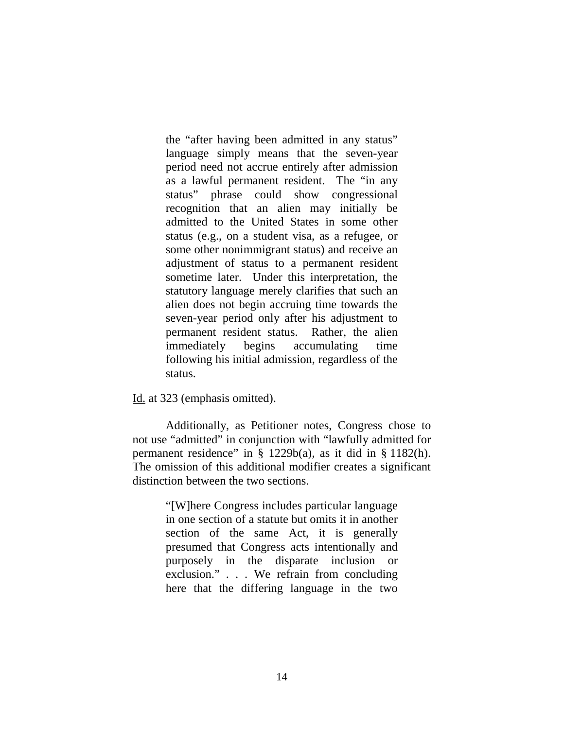the "after having been admitted in any status" language simply means that the seven-year period need not accrue entirely after admission as a lawful permanent resident. The "in any status" phrase could show congressional recognition that an alien may initially be admitted to the United States in some other status (e.g., on a student visa, as a refugee, or some other nonimmigrant status) and receive an adjustment of status to a permanent resident sometime later. Under this interpretation, the statutory language merely clarifies that such an alien does not begin accruing time towards the seven-year period only after his adjustment to permanent resident status. Rather, the alien immediately begins accumulating time following his initial admission, regardless of the status.

Id. at 323 (emphasis omitted).

Additionally, as Petitioner notes, Congress chose to not use "admitted" in conjunction with "lawfully admitted for permanent residence" in § 1229b(a), as it did in § 1182(h). The omission of this additional modifier creates a significant distinction between the two sections.

> "[W]here Congress includes particular language in one section of a statute but omits it in another section of the same Act, it is generally presumed that Congress acts intentionally and purposely in the disparate inclusion or exclusion." . . . We refrain from concluding here that the differing language in the two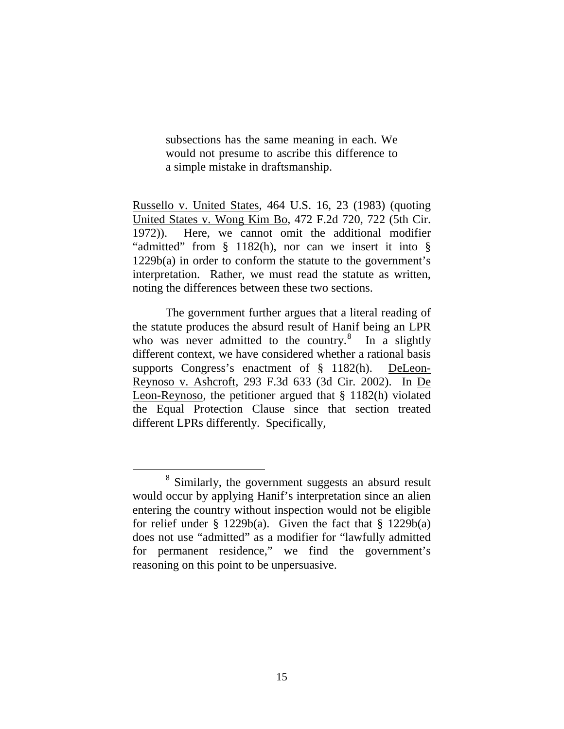subsections has the same meaning in each. We would not presume to ascribe this difference to a simple mistake in draftsmanship.

Russello v. United States, 464 U.S. 16, 23 (1983) (quoting United States v. Wong Kim Bo, 472 F.2d 720, 722 (5th Cir. 1972)). Here, we cannot omit the additional modifier "admitted" from § 1182(h), nor can we insert it into § 1229b(a) in order to conform the statute to the government's interpretation. Rather, we must read the statute as written, noting the differences between these two sections.

The government further argues that a literal reading of the statute produces the absurd result of Hanif being an LPR who was never admitted to the country.<sup>[8](#page-14-0)</sup> In a slightly different context, we have considered whether a rational basis supports Congress's enactment of § 1182(h). DeLeon-Reynoso v. Ashcroft, 293 F.3d 633 (3d Cir. 2002). In De Leon-Reynoso, the petitioner argued that § 1182(h) violated the Equal Protection Clause since that section treated different LPRs differently. Specifically,

<span id="page-14-0"></span> <sup>8</sup> Similarly, the government suggests an absurd result would occur by applying Hanif's interpretation since an alien entering the country without inspection would not be eligible for relief under  $\S$  1229b(a). Given the fact that  $\S$  1229b(a) does not use "admitted" as a modifier for "lawfully admitted for permanent residence," we find the government's reasoning on this point to be unpersuasive.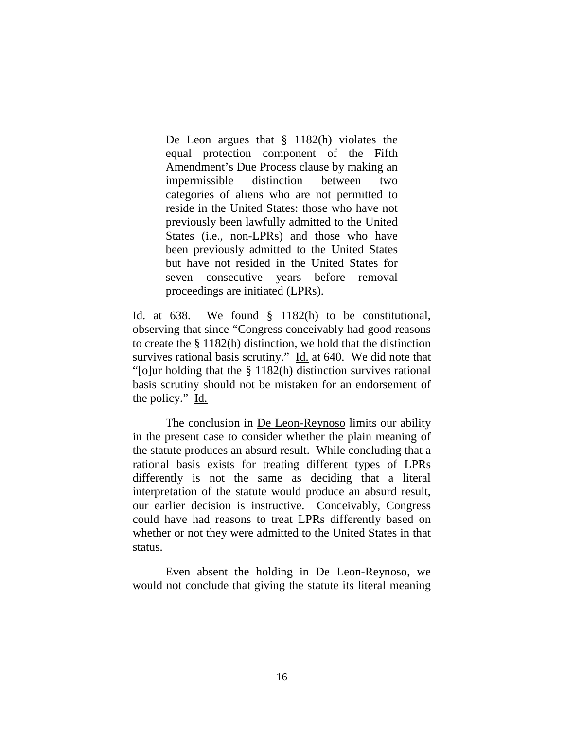De Leon argues that § 1182(h) violates the equal protection component of the Fifth Amendment's Due Process clause by making an impermissible distinction between two categories of aliens who are not permitted to reside in the United States: those who have not previously been lawfully admitted to the United States (i.e., non-LPRs) and those who have been previously admitted to the United States but have not resided in the United States for seven consecutive years before removal proceedings are initiated (LPRs).

Id. at 638. We found § 1182(h) to be constitutional, observing that since "Congress conceivably had good reasons to create the § 1182(h) distinction, we hold that the distinction survives rational basis scrutiny." Id. at 640. We did note that "[o]ur holding that the § 1182(h) distinction survives rational basis scrutiny should not be mistaken for an endorsement of the policy." Id.

The conclusion in **De Leon-Reynoso** limits our ability in the present case to consider whether the plain meaning of the statute produces an absurd result. While concluding that a rational basis exists for treating different types of LPRs differently is not the same as deciding that a literal interpretation of the statute would produce an absurd result, our earlier decision is instructive. Conceivably, Congress could have had reasons to treat LPRs differently based on whether or not they were admitted to the United States in that status.

Even absent the holding in De Leon-Reynoso, we would not conclude that giving the statute its literal meaning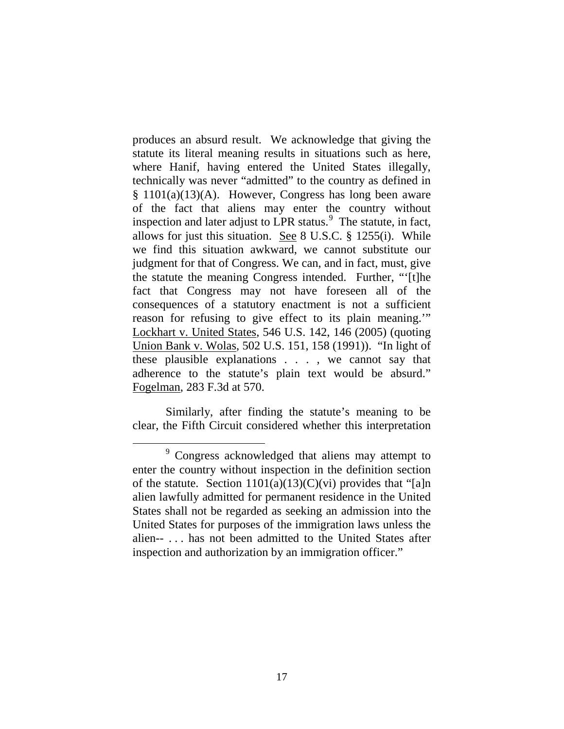produces an absurd result. We acknowledge that giving the statute its literal meaning results in situations such as here, where Hanif, having entered the United States illegally, technically was never "admitted" to the country as defined in  $§ 1101(a)(13)(A)$ . However, Congress has long been aware of the fact that aliens may enter the country without inspection and later adjust to LPR status.<sup>[9](#page-16-0)</sup> The statute, in fact, allows for just this situation. See 8 U.S.C. § 1255(i). While we find this situation awkward, we cannot substitute our judgment for that of Congress. We can, and in fact, must, give the statute the meaning Congress intended. Further, "'[t]he fact that Congress may not have foreseen all of the consequences of a statutory enactment is not a sufficient reason for refusing to give effect to its plain meaning.'" Lockhart v. United States, 546 U.S. 142, 146 (2005) (quoting Union Bank v. Wolas, 502 U.S. 151, 158 (1991)). "In light of these plausible explanations . . . , we cannot say that adherence to the statute's plain text would be absurd." Fogelman , 283 F.3d at 570.

Similarly, after finding the statute's meaning to be clear, the Fifth Circuit considered whether this interpretation

<span id="page-16-0"></span> <sup>9</sup> Congress acknowledged that aliens may attempt to enter the country without inspection in the definition section of the statute. Section  $1101(a)(13)(C)(vi)$  provides that "[a]n alien lawfully admitted for permanent residence in the United States shall not be regarded as seeking an admission into the United States for purposes of the immigration laws unless the alien-- . . . has not been admitted to the United States after inspection and authorization by an immigration officer."